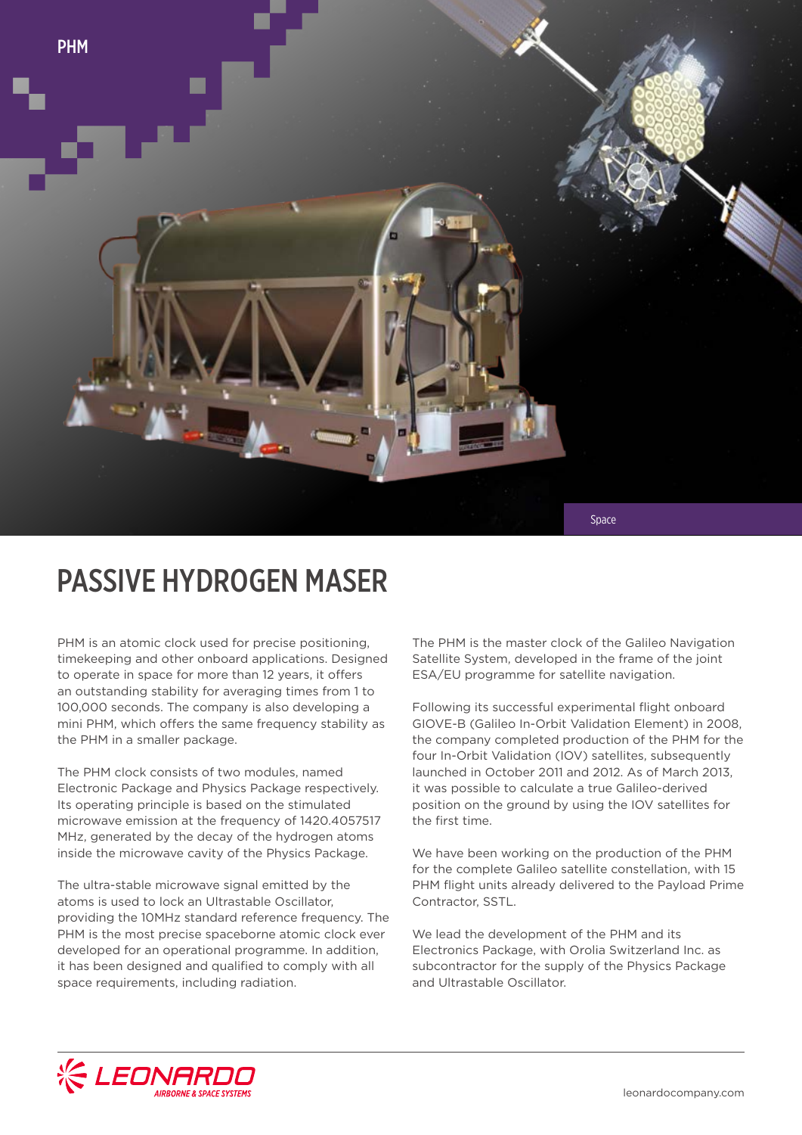

# PASSIVE HYDROGEN MASER

PHM is an atomic clock used for precise positioning, timekeeping and other onboard applications. Designed to operate in space for more than 12 years, it offers an outstanding stability for averaging times from 1 to 100,000 seconds. The company is also developing a mini PHM, which offers the same frequency stability as the PHM in a smaller package.

The PHM clock consists of two modules, named Electronic Package and Physics Package respectively. Its operating principle is based on the stimulated microwave emission at the frequency of 1420.4057517 MHz, generated by the decay of the hydrogen atoms inside the microwave cavity of the Physics Package.

The ultra-stable microwave signal emitted by the atoms is used to lock an Ultrastable Oscillator, providing the 10MHz standard reference frequency. The PHM is the most precise spaceborne atomic clock ever developed for an operational programme. In addition, it has been designed and qualified to comply with all space requirements, including radiation.

The PHM is the master clock of the Galileo Navigation Satellite System, developed in the frame of the joint ESA/EU programme for satellite navigation.

Following its successful experimental flight onboard GIOVE-B (Galileo In-Orbit Validation Element) in 2008, the company completed production of the PHM for the four In-Orbit Validation (IOV) satellites, subsequently launched in October 2011 and 2012. As of March 2013, it was possible to calculate a true Galileo-derived position on the ground by using the IOV satellites for the first time.

We have been working on the production of the PHM for the complete Galileo satellite constellation, with 15 PHM flight units already delivered to the Payload Prime Contractor, SSTL.

We lead the development of the PHM and its Electronics Package, with Orolia Switzerland Inc. as subcontractor for the supply of the Physics Package and Ultrastable Oscillator.